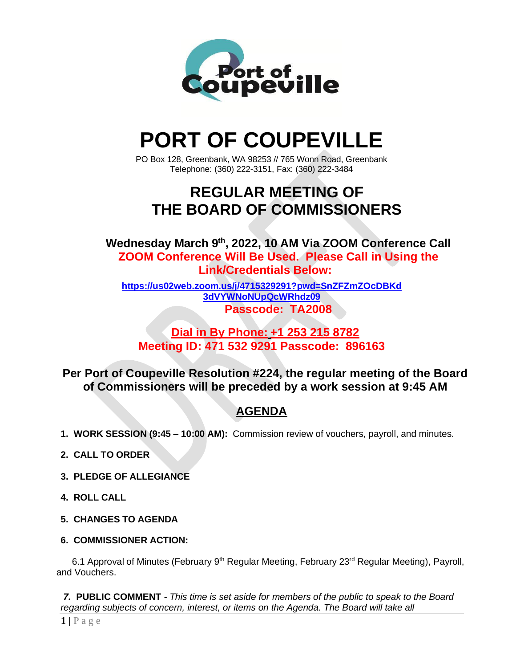

# **PORT OF COUPEVILLE**

PO Box 128, Greenbank, WA 98253 // 765 Wonn Road, Greenbank Telephone: (360) 222-3151, Fax: (360) 222-3484

# **REGULAR MEETING OF THE BOARD OF COMMISSIONERS**

**Wednesday March 9 th , 2022, 10 AM Via ZOOM Conference Call ZOOM Conference Will Be Used. Please Call in Using the Link/Credentials Below:**

**[https://us02web.zoom.us/j/4715329291?pwd=SnZFZmZOcDBKd](https://us02web.zoom.us/j/4715329291?pwd=SnZFZmZOcDBKd3dVYWNoNUpQcWRhdz09) [3dVYWNoNUpQcWRhdz09](https://us02web.zoom.us/j/4715329291?pwd=SnZFZmZOcDBKd3dVYWNoNUpQcWRhdz09) Passcode: TA2008**

### **Dial in By Phone: +1 253 215 8782 Meeting ID: 471 532 9291 Passcode: 896163**

**Per Port of Coupeville Resolution #224, the regular meeting of the Board of Commissioners will be preceded by a work session at 9:45 AM**

## **AGENDA**

- **1. WORK SESSION (9:45 – 10:00 AM):** Commission review of vouchers, payroll, and minutes.
- **2. CALL TO ORDER**
- **3. PLEDGE OF ALLEGIANCE**
- **4. ROLL CALL**
- **5. CHANGES TO AGENDA**
- **6. COMMISSIONER ACTION:**

6.1 Approval of Minutes (February 9<sup>th</sup> Regular Meeting, February 23<sup>rd</sup> Regular Meeting), Payroll, and Vouchers.

*7.* **PUBLIC COMMENT -** *This time is set aside for members of the public to speak to the Board regarding subjects of concern, interest, or items on the Agenda. The Board will take all*